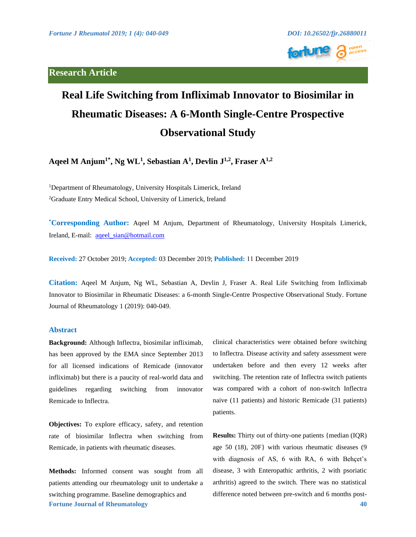# **Research Article**



# **Real Life Switching from Infliximab Innovator to Biosimilar in Rheumatic Diseases: A 6-Month Single-Centre Prospective Observational Study**

**Aqeel M Anjum1\*, Ng WL1, Sebastian A1, Devlin J1,2, Fraser A1,2**

<sup>1</sup>Department of Rheumatology, University Hospitals Limerick, Ireland 2 Graduate Entry Medical School, University of Limerick, Ireland

**\* Corresponding Author:** Aqeel M Anjum, Department of Rheumatology, University Hospitals Limerick, Ireland, E-mail: aqeel\_sian@hotmail.com

**Received:** 27 October 2019; **Accepted:** 03 December 2019; **Published:** 11 December 2019

**Citation:** Aqeel M Anjum, Ng WL, Sebastian A, Devlin J, Fraser A. Real Life Switching from Infliximab Innovator to Biosimilar in Rheumatic Diseases: a 6-month Single-Centre Prospective Observational Study. Fortune Journal of Rheumatology 1 (2019): 040-049.

### **Abstract**

**Background:** Although Inflectra, biosimilar infliximab, has been approved by the EMA since September 2013 for all licensed indications of Remicade (innovator infliximab) but there is a paucity of real-world data and guidelines regarding switching from innovator Remicade to Inflectra.

**Objectives:** To explore efficacy, safety, and retention rate of biosimilar Inflectra when switching from Remicade, in patients with rheumatic diseases.

**Fortune Journal of Rheumatology 40 Methods:** Informed consent was sought from all patients attending our rheumatology unit to undertake a switching programme. Baseline demographics and

clinical characteristics were obtained before switching to Inflectra. Disease activity and safety assessment were undertaken before and then every 12 weeks after switching. The retention rate of Inflectra switch patients was compared with a cohort of non-switch Inflectra naive (11 patients) and historic Remicade (31 patients) patients.

**Results:** Thirty out of thirty-one patients {median (IQR) age 50 (18), 20F} with various rheumatic diseases (9 with diagnosis of AS, 6 with RA, 6 with Behçet's disease, 3 with Enteropathic arthritis, 2 with psoriatic arthritis) agreed to the switch. There was no statistical difference noted between pre-switch and 6 months post-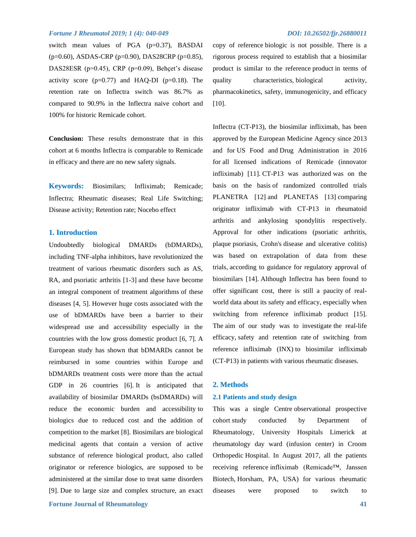switch mean values of PGA (p=0.37), BASDAI (p=0.60), ASDAS-CRP (p=0.90), DAS28CRP (p=0.85), DAS28ESR (p=0.45), CRP (p=0.09), Behçet's disease activity score  $(p=0.77)$  and HAQ-DI  $(p=0.18)$ . The retention rate on Inflectra switch was 86.7% as compared to 90.9% in the Inflectra naive cohort and 100% for historic Remicade cohort.

**Conclusion:** These results demonstrate that in this cohort at 6 months Inflectra is comparable to Remicade in efficacy and there are no new safety signals.

**Keywords:** Biosimilars; Infliximab; Remicade; Inflectra; Rheumatic diseases; Real Life Switching; Disease activity; Retention rate; Nocebo effect

### **1. Introduction**

Undoubtedly biological DMARDs (bDMARDs), including TNF-alpha inhibitors, have revolutionized the treatment of various rheumatic disorders such as AS, RA, and psoriatic arthritis [1-3] and these have become an integral component of treatment algorithms of these diseases [4, 5]. However huge costs associated with the use of bDMARDs have been a barrier to their widespread use and accessibility especially in the countries with the low gross domestic product [6, 7]. A European study has shown that bDMARDs cannot be reimbursed in some countries within Europe and bDMARDs treatment costs were more than the actual GDP in 26 countries [6]. It is anticipated that availability of biosimilar DMARDs (bsDMARDs) will reduce the economic burden and accessibility to biologics due to reduced cost and the addition of competition to the market [8]. Biosimilars are biological medicinal agents that contain a version of active substance of reference biological product, also called originator or reference biologics, are supposed to be administered at the similar dose to treat same disorders [9]. Due to large size and complex structure, an exact

copy of reference biologic is not possible. There is a rigorous process required to establish that a biosimilar product is similar to the reference product in terms of quality characteristics, biological activity, pharmacokinetics, safety, immunogenicity, and efficacy [10].

Inflectra (CT-P13), the biosimilar infliximab, has been approved by the European Medicine Agency since 2013 and for US Food and Drug Administration in 2016 for all licensed indications of Remicade (innovator infliximab) [11]. CT-P13 was authorized was on the basis on the basis of randomized controlled trials PLANETRA [12] and PLANETAS [13] comparing originator infliximab with CT-P13 in rheumatoid arthritis and ankylosing spondylitis respectively. Approval for other indications (psoriatic arthritis, plaque psoriasis, Crohn's disease and ulcerative colitis) was based on extrapolation of data from these trials, according to guidance for regulatory approval of biosimilars [14]. Although Inflectra has been found to offer significant cost, there is still a paucity of realworld data about its safety and efficacy, especially when switching from reference infliximab product [15]. The aim of our study was to investigate the real-life efficacy, safety and retention rate of switching from reference infliximab (INX) to biosimilar infliximab (CT-P13) in patients with various rheumatic diseases.

#### **2. Methods**

#### **2.1 Patients and study design**

This was a single Centre observational prospective cohort study conducted by Department of Rheumatology, University Hospitals Limerick at rheumatology day ward (infusion center) in Croom Orthopedic Hospital. In August 2017, all the patients receiving reference infliximab (Remicade™, Janssen Biotech, Horsham, PA, USA) for various rheumatic diseases were proposed to switch to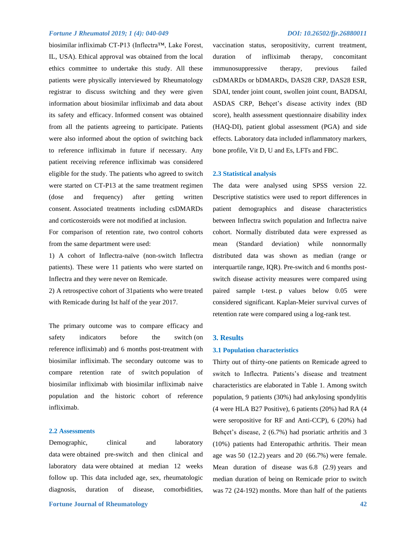biosimilar infliximab CT-P13 (Inflectra™, Lake Forest, IL, USA). Ethical approval was obtained from the local ethics committee to undertake this study. All these patients were physically interviewed by Rheumatology registrar to discuss switching and they were given information about biosimilar infliximab and data about its safety and efficacy. Informed consent was obtained from all the patients agreeing to participate. Patients were also informed about the option of switching back to reference infliximab in future if necessary. Any patient receiving reference infliximab was considered eligible for the study. The patients who agreed to switch were started on CT-P13 at the same treatment regimen (dose and frequency) after getting written consent. Associated treatments including csDMARDs and corticosteroids were not modified at inclusion.

For comparison of retention rate, two control cohorts from the same department were used:

1) A cohort of Inflectra-naïve (non-switch Inflectra patients). These were 11 patients who were started on Inflectra and they were never on Remicade.

2) A retrospective cohort of 31patients who were treated with Remicade during Ist half of the year 2017.

The primary outcome was to compare efficacy and safety indicators before the switch (on reference infliximab) and 6 months post-treatment with biosimilar infliximab. The secondary outcome was to compare retention rate of switch population of biosimilar infliximab with biosimilar infliximab naive population and the historic cohort of reference infliximab.

#### **2.2 Assessments**

Demographic, clinical and laboratory data were obtained pre-switch and then clinical and laboratory data were obtained at median 12 weeks follow up. This data included age, sex, rheumatologic diagnosis, duration of disease, comorbidities,

vaccination status, seropositivity, current treatment, duration of infliximab therapy, concomitant immunosuppressive therapy, previous failed csDMARDs or bDMARDs, DAS28 CRP, DAS28 ESR, SDAI, tender joint count, swollen joint count, BADSAI, ASDAS CRP, Behçet's disease activity index (BD score), health assessment questionnaire disability index (HAQ-DI), patient global assessment (PGA) and side effects. Laboratory data included inflammatory markers, bone profile, Vit D, U and Es, LFTs and FBC.

#### **2.3 Statistical analysis**

The data were analysed using SPSS version 22. Descriptive statistics were used to report differences in patient demographics and disease characteristics between Inflectra switch population and Inflectra naive cohort. Normally distributed data were expressed as mean (Standard deviation) while nonnormally distributed data was shown as median (range or interquartile range, IQR). Pre-switch and 6 months postswitch disease activity measures were compared using paired sample t-test. p values below 0.05 were considered significant. Kaplan-Meier survival curves of retention rate were compared using a log-rank test.

#### **3. Results**

#### **3.1 Population characteristics**

Thirty out of thirty-one patients on Remicade agreed to switch to Inflectra. Patients's disease and treatment characteristics are elaborated in Table 1. Among switch population, 9 patients (30%) had ankylosing spondylitis (4 were HLA B27 Positive), 6 patients (20%) had RA (4 were seropositive for RF and Anti-CCP), 6 (20%) had Behçet's disease, 2 (6.7%) had psoriatic arthritis and 3 (10%) patients had Enteropathic arthritis. Their mean age was 50 (12.2) years and 20 (66.7%) were female. Mean duration of disease was 6.8 (2.9) years and median duration of being on Remicade prior to switch was 72 (24-192) months. More than half of the patients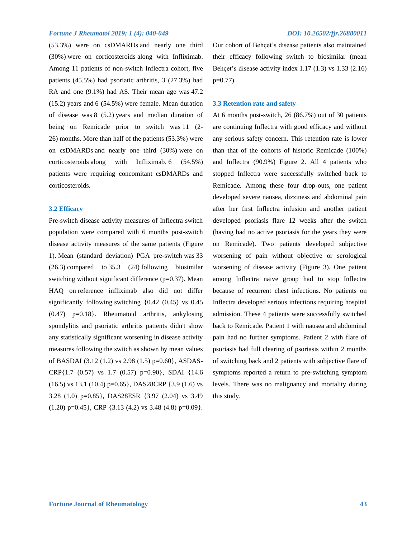(53.3%) were on csDMARDs and nearly one third (30%) were on corticosteroids along with Infliximab. Among 11 patients of non-switch Inflectra cohort, five patients (45.5%) had psoriatic arthritis, 3 (27.3%) had RA and one (9.1%) had AS. Their mean age was 47.2 (15.2) years and 6 (54.5%) were female. Mean duration of disease was 8 (5.2) years and median duration of being on Remicade prior to switch was 11 (2-26) months. More than half of the patients (53.3%) were on csDMARDs and nearly one third (30%) were on corticosteroids along with Infliximab. 6 (54.5%) patients were requiring concomitant csDMARDs and corticosteroids.

### **3.2 Efficacy**

Pre-switch disease activity measures of Inflectra switch population were compared with 6 months post-switch disease activity measures of the same patients (Figure 1). Mean (standard deviation) PGA pre-switch was 33 (26.3) compared to 35.3 (24) following biosimilar switching without significant difference (p=0.37). Mean HAQ on reference infliximab also did not differ significantly following switching {0.42 (0.45) vs 0.45 (0.47) p=0.18}. Rheumatoid arthritis, ankylosing spondylitis and psoriatic arthritis patients didn't show any statistically significant worsening in disease activity measures following the switch as shown by mean values of BASDAI (3.12 (1.2) vs 2.98 (1.5) p=0.60}, ASDAS-CRP{1.7 (0.57) vs 1.7 (0.57) p=0.90}, SDAI {14.6  $(16.5)$  vs 13.1  $(10.4)$  p=0.65}, DAS28CRP  $\{3.9\}$   $(1.6)$  vs 3.28 (1.0) p=0.85}, DAS28ESR {3.97 (2.04) vs 3.49  $(1.20)$  p=0.45}, CRP {3.13 (4.2) vs 3.48 (4.8) p=0.09}. Our cohort of Behçet's disease patients also maintained their efficacy following switch to biosimilar (mean Behçet's disease activity index 1.17 (1.3) vs 1.33 (2.16)  $p=0.77$ ).

#### **3.3 Retention rate and safety**

At 6 months post-switch, 26 (86.7%) out of 30 patients are continuing Inflectra with good efficacy and without any serious safety concern. This retention rate is lower than that of the cohorts of historic Remicade (100%) and Inflectra (90.9%) Figure 2. All 4 patients who stopped Inflectra were successfully switched back to Remicade. Among these four drop-outs, one patient developed severe nausea, dizziness and abdominal pain after her first Inflectra infusion and another patient developed psoriasis flare 12 weeks after the switch (having had no active psoriasis for the years they were on Remicade). Two patients developed subjective worsening of pain without objective or serological worsening of disease activity (Figure 3). One patient among Inflectra naive group had to stop Inflectra because of recurrent chest infections. No patients on Inflectra developed serious infections requiring hospital admission. These 4 patients were successfully switched back to Remicade. Patient 1 with nausea and abdominal pain had no further symptoms. Patient 2 with flare of psoriasis had full clearing of psoriasis within 2 months of switching back and 2 patients with subjective flare of symptoms reported a return to pre-switching symptom levels. There was no malignancy and mortality during this study.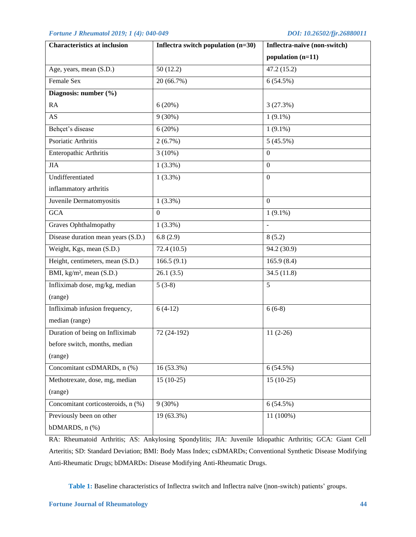| <b>Characteristics at inclusion</b>  | Inflectra switch population $(n=30)$ | Inflectra-naïve (non-switch) |
|--------------------------------------|--------------------------------------|------------------------------|
|                                      |                                      | population (n=11)            |
| Age, years, mean (S.D.)              | 50(12.2)                             | 47.2 (15.2)                  |
| Female Sex                           | 20 (66.7%)                           | 6(54.5%)                     |
| Diagnosis: number (%)                |                                      |                              |
| RA                                   | 6(20%)                               | 3(27.3%)                     |
| <b>AS</b>                            | $9(30\%)$                            | $1(9.1\%)$                   |
| Behçet's disease                     | 6(20%)                               | $1(9.1\%)$                   |
| Psoriatic Arthritis                  | $2(6.7\%)$                           | 5(45.5%)                     |
| Enteropathic Arthritis               | $3(10\%)$                            | $\boldsymbol{0}$             |
| JIA                                  | $1(3.3\%)$                           | $\Omega$                     |
| Undifferentiated                     | $1(3.3\%)$                           | $\Omega$                     |
| inflammatory arthritis               |                                      |                              |
| Juvenile Dermatomyositis             | $1(3.3\%)$                           | $\Omega$                     |
| <b>GCA</b>                           | $\mathbf{0}$                         | $1(9.1\%)$                   |
| <b>Graves Ophthalmopathy</b>         | $1(3.3\%)$                           | $\overline{a}$               |
| Disease duration mean years (S.D.)   | 6.8(2.9)                             | 8(5.2)                       |
| Weight, Kgs, mean (S.D.)             | 72.4(10.5)                           | 94.2 (30.9)                  |
| Height, centimeters, mean (S.D.)     | 166.5(9.1)                           | 165.9(8.4)                   |
| BMI, kg/m <sup>2</sup> , mean (S.D.) | 26.1(3.5)                            | 34.5(11.8)                   |
| Infliximab dose, mg/kg, median       | $5(3-8)$                             | 5                            |
| (range)                              |                                      |                              |
| Infliximab infusion frequency,       | $6(4-12)$                            | $6(6-8)$                     |
| median (range)                       |                                      |                              |
| Duration of being on Infliximab      | 72 (24-192)                          | $11(2-26)$                   |
| before switch, months, median        |                                      |                              |
| (range)                              |                                      |                              |
| Concomitant csDMARDs, n (%)          | 16 (53.3%)                           | 6(54.5%)                     |
| Methotrexate, dose, mg, median       | $15(10-25)$                          | $15(10-25)$                  |
| (range)                              |                                      |                              |
| Concomitant corticosteroids, n (%)   | $9(30\%)$                            | 6(54.5%)                     |
| Previously been on other             | 19 (63.3%)                           | 11 (100%)                    |
| bDMARDS, n (%)                       |                                      |                              |

RA: Rheumatoid Arthritis; AS: Ankylosing Spondylitis; JIA: Juvenile Idiopathic Arthritis; GCA: Giant Cell Arteritis; SD: Standard Deviation; BMI: Body Mass Index; csDMARDs; Conventional Synthetic Disease Modifying Anti-Rheumatic Drugs; bDMARDs: Disease Modifying Anti-Rheumatic Drugs.

**Table 1:** Baseline characteristics of Inflectra switch and Inflectra naïve (|non-switch) patients' groups.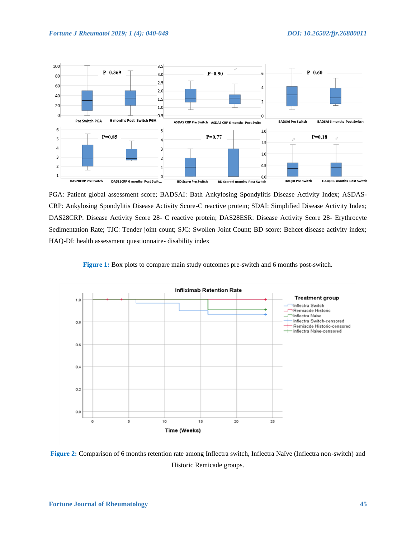

PGA: Patient global assessment score; BADSAI: Bath Ankylosing Spondylitis Disease Activity Index; ASDAS-CRP: Ankylosing Spondylitis Disease Activity Score-C reactive protein; SDAI: Simplified Disease Activity Index; DAS28CRP: Disease Activity Score 28- C reactive protein; DAS28ESR: Disease Activity Score 28- Erythrocyte Sedimentation Rate; TJC: Tender joint count; SJC: Swollen Joint Count; BD score: Behcet disease activity index; HAQ-DI: health assessment questionnaire- disability index

**Figure 1:** Box plots to compare main study outcomes pre-switch and 6 months post-switch.



**Figure 2:** Comparison of 6 months retention rate among Inflectra switch, Inflectra Naïve (Inflectra non-switch) and Historic Remicade groups.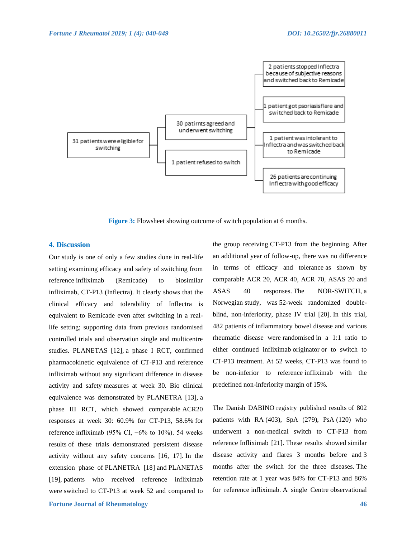

**Figure 3:** Flowsheet showing outcome of switch population at 6 months.

### **4. Discussion**

Our study is one of only a few studies done in real-life setting examining efficacy and safety of switching from reference infliximab (Remicade) to biosimilar infliximab, CT-P13 (Inflectra). It clearly shows that the clinical efficacy and tolerability of Inflectra is equivalent to Remicade even after switching in a reallife setting; supporting data from previous randomised controlled trials and observation single and multicentre studies. PLANETAS [12], a phase I RCT, confirmed pharmacokinetic equivalence of CT-P13 and reference infliximab without any significant difference in disease activity and safety measures at week 30. Bio clinical equivalence was demonstrated by PLANETRA [13], a phase III RCT, which showed comparable ACR20 responses at week 30: 60.9% for CT-P13, 58.6% for reference infliximab (95% CI,  $-6\%$  to 10%). 54 weeks results of these trials demonstrated persistent disease activity without any safety concerns [16, 17]. In the extension phase of PLANETRA [18] and PLANETAS [19], patients who received reference infliximab were switched to CT-P13 at week 52 and compared to

**Fortune Journal of Rheumatology 46** 

the group receiving CT-P13 from the beginning. After an additional year of follow-up, there was no difference in terms of efficacy and tolerance as shown by comparable ACR 20, ACR 40, ACR 70, ASAS 20 and ASAS 40 responses. The NOR-SWITCH, a Norwegian study, was 52-week randomized doubleblind, non-inferiority, phase IV trial [20]. In this trial, 482 patients of inflammatory bowel disease and various rheumatic disease were randomised in a 1:1 ratio to either continued infliximab originator or to switch to CT-P13 treatment. At 52 weeks, CT-P13 was found to be non-inferior to reference infliximab with the predefined non-inferiority margin of 15%.

The Danish DABINO registry published results of 802 patients with RA (403), SpA (279), PsA (120) who underwent a non-medical switch to CT-P13 from reference Infliximab [21]. These results showed similar disease activity and flares 3 months before and 3 months after the switch for the three diseases. The retention rate at 1 year was 84% for CT-P13 and 86% for reference infliximab. A single Centre observational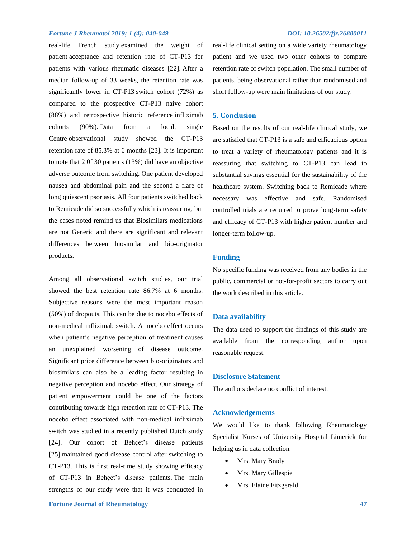real-life French study examined the weight of patient acceptance and retention rate of CT-P13 for patients with various rheumatic diseases [22]. After a median follow-up of 33 weeks, the retention rate was significantly lower in CT-P13 switch cohort (72%) as compared to the prospective CT-P13 naive cohort (88%) and retrospective historic reference infliximab cohorts (90%). Data from a local, single Centre observational study showed the CT-P13 retention rate of 85.3% at 6 months [23]. It is important to note that 2 0f 30 patients (13%) did have an objective adverse outcome from switching. One patient developed nausea and abdominal pain and the second a flare of long quiescent psoriasis. All four patients switched back to Remicade did so successfully which is reassuring, but the cases noted remind us that Biosimilars medications are not Generic and there are significant and relevant differences between biosimilar and bio-originator products.

Among all observational switch studies, our trial showed the best retention rate 86.7% at 6 months. Subjective reasons were the most important reason (50%) of dropouts. This can be due to nocebo effects of non-medical infliximab switch. A nocebo effect occurs when patient's negative perception of treatment causes an unexplained worsening of disease outcome. Significant price difference between bio-originators and biosimilars can also be a leading factor resulting in negative perception and nocebo effect. Our strategy of patient empowerment could be one of the factors contributing towards high retention rate of CT-P13. The nocebo effect associated with non-medical infliximab switch was studied in a recently published Dutch study [24]. Our cohort of Behçet's disease patients [25] maintained good disease control after switching to CT-P13. This is first real-time study showing efficacy of CT-P13 in Behçet's disease patients. The main strengths of our study were that it was conducted in

# **Fortune Journal of Rheumatology 47 47**

real-life clinical setting on a wide variety rheumatology patient and we used two other cohorts to compare retention rate of switch population. The small number of patients, being observational rather than randomised and short follow-up were main limitations of our study.

# **5. Conclusion**

Based on the results of our real-life clinical study, we are satisfied that CT-P13 is a safe and efficacious option to treat a variety of rheumatology patients and it is reassuring that switching to CT-P13 can lead to substantial savings essential for the sustainability of the healthcare system. Switching back to Remicade where necessary was effective and safe. Randomised controlled trials are required to prove long-term safety and efficacy of CT-P13 with higher patient number and longer-term follow-up.

# **Funding**

No specific funding was received from any bodies in the public, commercial or not-for-profit sectors to carry out the work described in this article.

### **Data availability**

The data used to support the findings of this study are available from the corresponding author upon reasonable request.

# **Disclosure Statement**

The authors declare no conflict of interest.

#### **Acknowledgements**

We would like to thank following Rheumatology Specialist Nurses of University Hospital Limerick for helping us in data collection.

- Mrs. Mary Brady
- Mrs. Mary Gillespie
- Mrs. Elaine Fitzgerald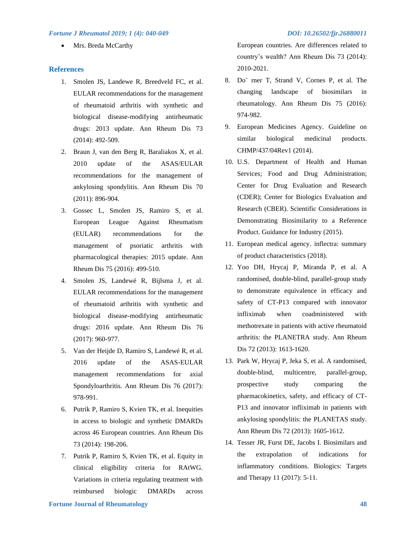• Mrs. Breda McCarthy

#### **References**

- 1. Smolen JS, Landewe R, Breedveld FC, et al. EULAR recommendations for the management of rheumatoid arthritis with synthetic and biological disease-modifying antirheumatic drugs: 2013 update. Ann Rheum Dis 73 (2014): 492-509.
- 2. Braun J, van den Berg R, Baraliakos X, et al. 2010 update of the ASAS/EULAR recommendations for the management of ankylosing spondylitis. Ann Rheum Dis 70 (2011): 896-904.
- 3. Gossec L, Smolen JS, Ramiro S, et al. European League Against Rheumatism (EULAR) recommendations for the management of psoriatic arthritis with pharmacological therapies: 2015 update. Ann Rheum Dis 75 (2016): 499-510.
- 4. Smolen JS, Landewé R, Bijlsma J, et al. EULAR recommendations for the management of rheumatoid arthritis with synthetic and biological disease-modifying antirheumatic drugs: 2016 update. Ann Rheum Dis 76 (2017): 960-977.
- 5. Van der Heijde D, Ramiro S, Landewé R, et al. 2016 update of the ASAS-EULAR management recommendations for axial Spondyloarthritis. Ann Rheum Dis 76 (2017): 978-991.
- 6. Putrik P, Ramiro S, Kvien TK, et al. Inequities in access to biologic and synthetic DMARDs across 46 European countries. Ann Rheum Dis 73 (2014): 198-206.
- 7. Putrik P, Ramiro S, Kvien TK, et al. Equity in clinical eligibility criteria for RAtWG. Variations in criteria regulating treatment with reimbursed biologic DMARDs across

European countries. Are differences related to country's wealth? Ann Rheum Dis 73 (2014): 2010-2021.

- 8. Do¨ rner T, Strand V, Cornes P, et al. The changing landscape of biosimilars in rheumatology. Ann Rheum Dis 75 (2016): 974-982.
- 9. European Medicines Agency. Guideline on similar biological medicinal products. CHMP/437/04Rev1 (2014).
- 10. U.S. Department of Health and Human Services; Food and Drug Administration; Center for Drug Evaluation and Research (CDER); Center for Biologics Evaluation and Research (CBER). Scientific Considerations in Demonstrating Biosimilarity to a Reference Product. Guidance for Industry (2015).
- 11. European medical agency. inflectra: summary of product characteristics (2018).
- 12. Yoo DH, Hrycaj P, Miranda P, et al. A randomised, double-blind, parallel-group study to demonstrate equivalence in efficacy and safety of CT-P13 compared with innovator infliximab when coadministered with methotrexate in patients with active rheumatoid arthritis: the PLANETRA study. Ann Rheum Dis 72 (2013): 1613-1620.
- 13. Park W, Hrycaj P, Jeka S, et al. A randomised, double-blind, multicentre, parallel-group, prospective study comparing the pharmacokinetics, safety, and efficacy of CT-P13 and innovator infliximab in patients with ankylosing spondylitis: the PLANETAS study. Ann Rheum Dis 72 (2013): 1605-1612.
- 14. Tesser JR, Furst DE, Jacobs I. Biosimilars and the extrapolation of indications for inflammatory conditions. Biologics: Targets and Therapy 11 (2017): 5-11.